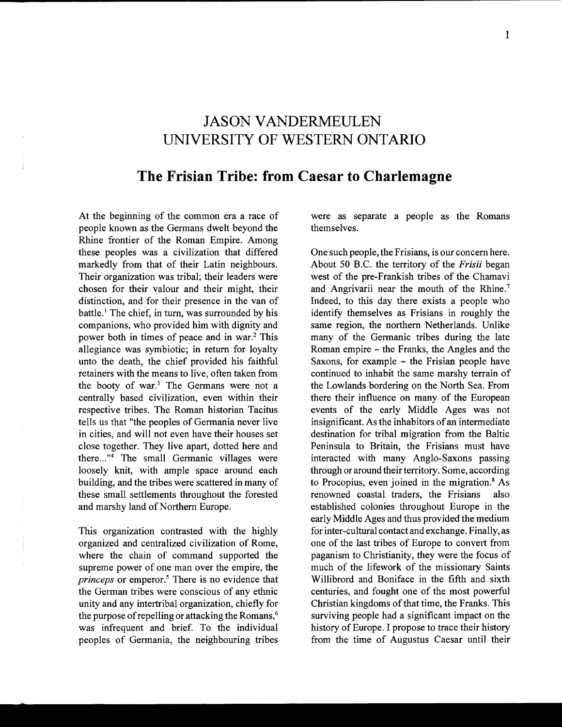## **JASON VANDERMEULEN UNIVERSITY OF WESTERN ONTARIO**

## **The Frisian Tribe: from Caesar to Charlemagne**

At the beginning of the common era a race of people known as the Germans dwelt beyond the Rhine frontier of the Roman Empire. Among these peoples was a civilization that differed markedly from that of their Latin neighbours. Their organization was tribal; their leaders were chosen for their valour and their might, their distinction, and for their presence in the van of battle.<sup>1</sup> The chief, in turn, was surrounded by his companions, who provided him with dignity and power both in times of peace and in war.2 This allegiance was symbiotic; in return for loyalty unto the death, the chief provided his faithful retainers with the means to live, often taken from the booty of war.3 The Germans were not a centrally based civilization, even within their respective tribes. The Roman historian Tacitus tells us that "the peoples of Germania never live in cities, and will not even have their houses set close together. They live apart, dotted here and there..."<sup>4</sup> The small Germanic villages were loosely knit, with ample space around each building, and the tribes were scattered in many of these small settlements throughout the forested and marshy land of Northern Europe.

This organization contrasted with the highly organized and centralized civilization of Rome, where the chain of command supported the supreme power of one man over the empire, the *princeps* or emperor.<sup>5</sup> There is no evidence that the German tribes were conscious of any ethnic unity and any intertribal organization, chiefly for the purpose of repelling or attacking the Romans,<sup>6</sup> was infrequent and brief. To the individual peoples of Germania, the neighbouring tribes were as separate a people as the Romans themselves.

One such people, the Frisians, is our concern here. About 50 B.C. the territory of the *Frisii* began west of the pre-Frankish tribes of the Chamavi and Angrivarii near the mouth of the Rhine.<sup>7</sup> Indeed, to this day there exists a people who identify themselves as Frisians in roughly the same region, the northern Netherlands. Unlike many of the Germanic tribes during the late Roman empire - the Franks, the Angles and the Saxons, for example - the Frisian people have continued to inhabit the same marshy terrain of the Lowlands bordering on the North Sea. From there their influence on many of the European events of the early Middle Ages was not insignificant. As the inhabitors of an intermediate destination for tribal migration from the Baltic Peninsula to Britain, the Frisians must have interacted with many Anglo-Saxons passing through or around their territory. Some, according to Procopius, even joined in the migration.<sup>8</sup> As renowned coastal traders, the Frisians also established colonies throughout Europe in the early Middle Ages and thus provided the medium for inter-cultural contact and exchange. Finally, as one of the last tribes of Europe to convert from paganism to Christianity, they were the focus of much of the lifework of the missionary Saints Willibrord and Boniface in the fifth and sixth centuries, and fought one of the most powerful Christian kingdoms of that time, the Franks. This surviving people had a significant impact on the history of Europe. I propose to trace their history from the time of Augustus Caesar until their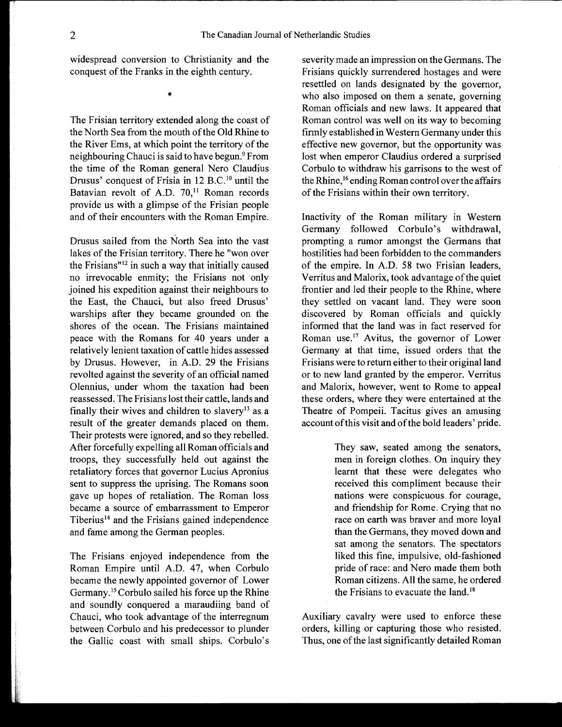widespread conversion to Christianity and the conquest of the Franks in the eighth century.

\*

The Frisian territory extended along the coast of the North Sea from the mouth of the Old Rhine to the River Ems, at which point the territory of the neighbouring Chauci is said to have begun.<sup>9</sup> From the time of the Roman general Nero Claudius Drusus' conquest of Frisia in 12 B.C.<sup>10</sup> until the Batavian revolt of A.D. 70,<sup>11</sup> Roman records provide us with a glimpse of the Frisian people and of their encounters with the Roman Empire.

Drusus sailed from the North Sea into the vast lakes of the Frisian territory. There he "won over the Frisians"12 in such a way that initially caused no irrevocable enmity; the Frisians not only joined his expedition against their neighbours to the East, the Chauci, but also freed Drusus' warships after they became grounded on the shores of the ocean. The Frisians maintained peace with the Romans for 40 years under a relatively lenient taxation of cattle hides assessed by Drusus. However, in A.D. 29 the Frisians revolted against the severity of an official named Olennius, under whom the taxation had been reassessed. The Frisians lost their cattle, lands and finally their wives and children to slavery<sup>13</sup> as a result of the greater demands placed on them. Their protests were ignored, and so they rebelled. After forcefully expelling all Roman officials and troops, they successfully held out against the retaliatory forces that governor Lucius Apronius sent to suppress the uprising. The Romans soon gave up hopes of retaliation. The Roman loss became a source of embarrassment to Emperor Tiberius<sup>14</sup> and the Frisians gained independence and fame among the German peoples.

The Frisians enjoyed independence from the Roman Empire until A.D. 47, when Corbulo became the newly appointed governor of Lower Germany.<sup>15</sup> Corbulo sailed his force up the Rhine and soundly conquered a maraudiing band of Chauci, who took advantage of the interregnum between Corbulo and his predecessor to plunder the Gallic coast with small ships. Corbulo's severity made an impression on the Germans. The Frisians quickly surrendered hostages and were resettled on lands designated by the governor, who also imposed on them a senate, governing Roman officials and new laws. It appeared that Roman control was well on its way to becoming firmly established in Western Germany under this effective new governor, but the opportunity was lost when emperor Claudius ordered a surprised Corbulo to withdraw his garrisons to the west of the Rhine,<sup>16</sup> ending Roman control over the affairs of the Frisians within their own territory.

Inactivity of the Roman military in Western Germany followed Corbulo's withdrawal, prompting a rumor amongst the Germans that hostilities had been forbidden to the commanders of the empire. In A.D. 58 two Frisian leaders, Verritus and Malorix, took advantage of the quiet frontier and led their people to the Rhine, where they settled on vacant land. They were soon discovered by Roman officials and quickly informed that the land was in fact reserved for Roman use.<sup>17</sup> Avitus, the governor of Lower Germany at that time, issued orders that the Frisians were to return either to their original land or to new land granted by the emperor. Verritus and Malorix, however, went to Rome to appeal these orders, where they were entertained at the Theatre of Pompeii. Tacitus gives an amusing account of this visit and of the bold leaders' pride.

> They saw, seated among the senators, men in foreign clothes. On inquiry they learnt that these were delegates who received this compliment because their nations were conspicuous for courage, and friendship for Rome. Crying that no race on earth was braver and more loyal than the Germans, they moved down and sat among the senators. The spectators liked this fine, impulsive, old-fashioned pride of race: and Nero made them both Roman citizens. All the same, he ordered the Frisians to evacuate the land.<sup>18</sup>

Auxiliary cavalry were used to enforce these orders, killing or capturing those who resisted. Thus, one of the last significantly detailed Roman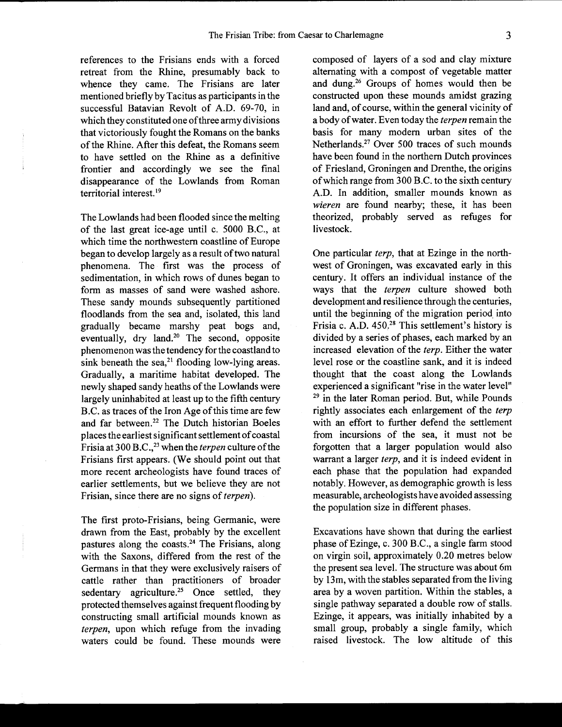references to the Frisians ends with a forced retreat from the Rhine, presumably back to whence they came. The Frisians are later mentioned briefly by Tacitus as participants in the successful Batavian Revolt of A.D. 69-70, in which they constituted one of three army divisions that victoriously fought the Romans on the banks of the Rhine. After this defeat, the Romans seem to have settled on the Rhine as a definitive frontier and accordingly we see the final disappearance of the Lowlands from Roman territorial interest.<sup>19</sup>

The Lowlands had been flooded since the melting of the last great ice-age until c. 5000 B.C., at which time the northwestern coastline of Europe began to develop largely as a result of two natural phenomena. The first was the process of sedimentation, in which rows of dunes began to form as masses of sand were washed ashore. These sandy mounds subsequently partitioned floodlands from the sea and, isolated, this land gradually became marshy peat bogs and, eventually, dry land.<sup>20</sup> The second, opposite phenomenon was the tendency for the coastland to sink beneath the sea, $^{21}$  flooding low-lying areas. Gradually, a maritime habitat developed. The newly shaped sandy heaths of the Lowlands were largely uninhabited at least up to the fifth century B.C. as traces of the Iron Age of this time are few and far between.22 The Dutch historian Boeles places the earliest significant settlement of coastal Frisiaat 300 B.C.,23 when the *terpen* culture of the Frisians first appears. (We should point out that more recent archeologists have found traces of earlier settlements, but we believe they are not Frisian, since there are no signs of *terpen).* 

The first proto-Frisians, being Germanic, were drawn from the East, probably by the excellent pastures along the coasts.<sup>24</sup> The Frisians, along with the Saxons, differed from the rest of the Germans in that they were exclusively raisers of cattle rather than practitioners of broader sedentary agriculture.<sup>25</sup> Once settled, they protected themselves against frequent flooding by constructing small artificial mounds known as *terpen,* upon which refuge from the invading waters could be found. These mounds were

composed of layers of a sod and clay mixture alternating with a compost of vegetable matter and dung.26 Groups of homes would then be constructed upon these mounds amidst grazing land and, of course, within the general vicinity of a body of water. Even today the *terpen* remain the basis for many modem urban sites of the Netherlands.27 Over 500 traces of such mounds have been found in the northern Dutch provinces of Friesland, Groningen and Drenthe, the origins of which range from  $300 B.C.$  to the sixth century A.D. In addition, smaller mounds known as *wieren* are found nearby; these, it has been theorized, probably served as refuges for livestock.

One particular *terp,* that at Ezinge in the northwest of Groningen, was excavated early in this century. It offers an individual instance of the ways that the *terpen* culture showed both development and resilience through the centuries, until the beginning of the migration period into Frisia c. A.D. 450.<sup>28</sup> This settlement's history is divided by a series of phases, each marked by an increased elevation of the *terp.* Either the water level rose or the coastline sank, and it is indeed thought that the coast along the Lowlands experienced a significant "rise in the water level" <sup>29</sup> in the later Roman period. But, while Pounds rightly associates each enlargement of the *terp*  with an effort to further defend the settlement from incursions of the sea, it must not be forgotten that a larger population would also warrant a larger *terp,* and it is indeed evident in each phase that the population had expanded notably. However, as demographic growth is less measurable, archeologists have avoided assessing the population size in different phases.

Excavations have shown that during the earliest phase of Ezinge, c. 300 B.C., a single farm stood on virgin soil, approximately 0.20 metres below the present sea level. The structure was about 6m by 13m, with the stables separated from the living area by a woven partition. Within the stables, a single pathway separated a double row of stalls. Ezinge, it appears, was initially inhabited by a small group, probably a single family, which raised livestock. The low altitude of this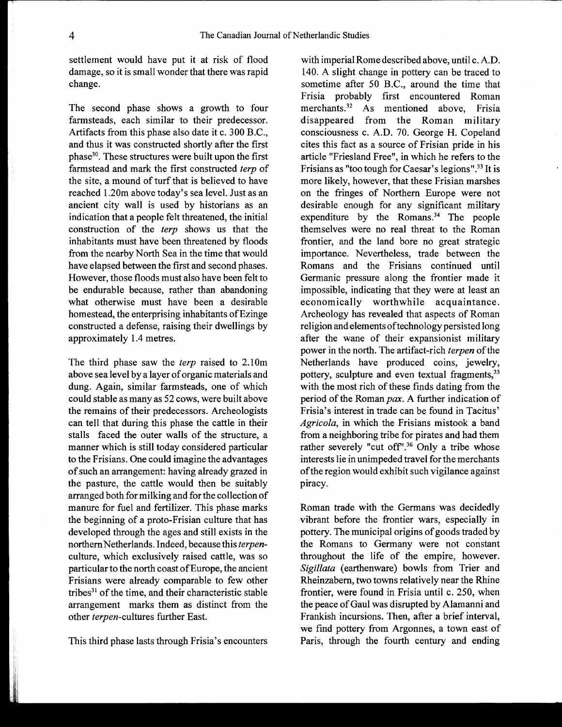settlement would have put it at risk of flood damage, so it is small wonder that there was rapid change.

The second phase shows a growth to four farmsteads, each similar to their predecessor. Artifacts from this phase also date it c. 300 B.C., and thus it was constructed shortly after the first phase30. These structures were built upon the first farmstead and mark the first constructed *terp* of the site, a mound of turf that is believed to have reached 1.20m above today's sea level. Just as an ancient city wall is used by historians as an indication that a people felt threatened, the initial construction of the *terp* shows us that the inhabitants must have been threatened by floods from the nearby North Sea in the time that would have elapsed between the first and second phases. However, those floods must also have been felt to be endurable because, rather than abandoning what otherwise must have been a desirable homestead, the enterprising inhabitants of Ezinge constructed a defense, raising their dwellings by approximately 1.4 metres.

The third phase saw the *terp* raised to 2.10m above sea level by a layer of organic materials and dung. Again, similar farmsteads, one of which could stable as many as 52 cows, were built above the remains of their predecessors. Archeologists can tell that during this phase the cattle in their stalls faced the outer walls of the structure, a manner which is still today considered particular to the Frisians. One could imagine the advantages of such an arrangement: having already grazed in the pasture, the cattle would then be suitably arranged both for milking and for the collection of manure for fuel and fertilizer. This phase marks the beginning of a proto-Frisian culture that has developed through the ages and still exists in the northern Netherlands. Indeed, because this *terpen*culture, which exclusively raised cattle, was so particular to the north coast of Europe, the ancient Frisians were already comparable to few other tribes $31$  of the time, and their characteristic stable arrangement marks them as distinct from the other *terpen-cultures* further East.

This third phase lasts through Frisia's encounters

with imperial Rome described above, until c. A.D. 140. A slight change in pottery can be traced to sometime after 50 B.C., around the time that Frisia probably first encountered Roman merchants.<sup>32</sup> As mentioned above, Frisia disappeared from the Roman military consciousness c. A.D. 70. George H. Copeland cites this fact as a source of Frisian pride in his article "Friesland Free", in which he refers to the Frisians as "too tough for Caesar's legions".<sup>33</sup> It is more likely, however, that these Frisian marshes on the fringes of Northern Europe were not desirable enough for any significant military expenditure by the Romans.<sup>34</sup> The people themselves were no real threat to the Roman frontier, and the land bore no great strategic importance. Nevertheless, trade between the Romans and the Frisians continued until Germanic pressure along the frontier made it impossible, indicating that they were at least an economically worthwhile acquaintance. Archeology has revealed that aspects of Roman religion and elements of technology persisted long after the wane of their expansionist military power in the north. The artifact-rich *terpen* of the Netherlands have produced coins, jewelry, pottery, sculpture and even textual fragments,<sup>35</sup> with the most rich of these finds dating from the period of the Roman pax. A further indication of Frisia's interest in trade can be found in Tacitus' *Agricola,* in which the Frisians mistook a band from a neighboring tribe for pirates and had them rather severely "cut off".<sup>36</sup> Only a tribe whose interests lie in unimpeded travel for the merchants of the region would exhibit such vigilance against piracy.

Roman trade with the Germans was decidedly vibrant before the frontier wars, especially in pottery. The municipal origins of goods traded by the Romans to Germany were not constant throughout the life of the empire, however. *Sigillata* (earthenware) bowls from Trier and Rheinzabern, two towns relatively near the Rhine frontier, were found in Frisia until c. 250, when the peace of Gaul was disrupted by Alamanni and Frankish incursions. Then, after a brief interval, we find pottery from Argonnes, a town east of Paris, through the fourth century and ending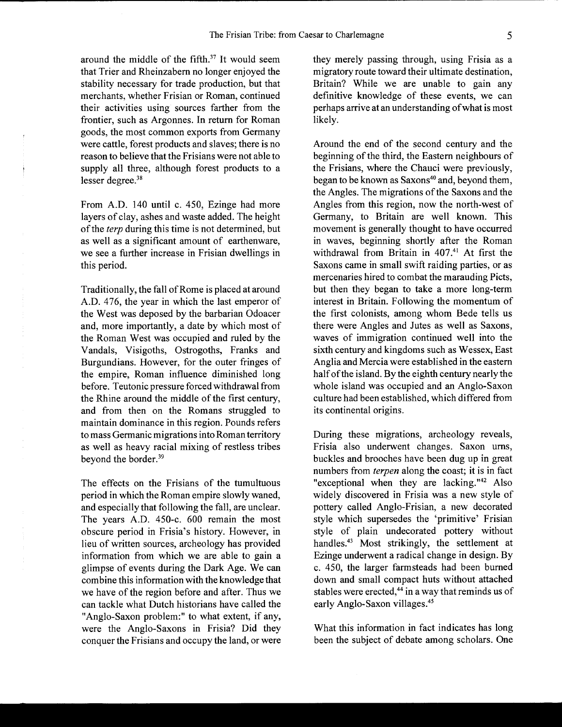around the middle of the fifth. $37$  It would seem that Trier and Rheinzabern no longer enjoyed the stability necessary for trade production, but that merchants, whether Frisian or Roman, continued their activities using sources farther from the frontier, such as Argonnes. In return for Roman goods, the most common exports from Germany were cattle, forest products and slaves; there is no reason to believe that the Frisians were not able to supply all three, although forest products to a lesser degree.<sup>38</sup>

From A.D. 140 until c. 450, Ezinge had more layers of clay, ashes and waste added. The height of the *terp* during this time is not determined, but as well as a significant amount of earthenware, we see a further increase in Frisian dwellings in this period.

Traditionally, the fall of Rome is placed at around A.D. 476, the year in which the last emperor of the West was deposed by the barbarian Odoacer and, more importantly, a date by which most of the Roman West was occupied and ruled by the Vandals, Visigoths, Ostrogoths, Franks and Burgundians. However, for the outer fringes of the empire, Roman influence diminished long before. Teutonic pressure forced withdrawal from the Rhine around the middle of the first century, and from then on the Romans struggled to maintain dominance in this region. Pounds refers to mass Germanic migrations into Roman territory as well as heavy racial mixing of restless tribes beyond the border.39

The effects on the Frisians of the tumultuous period in which the Roman empire slowly waned, and especially that following the fall, are unclear. The years A.D. 450-c. 600 remain the most obscure period in Frisia's history. However, in lieu of written sources, archeology has provided information from which we are able to gain a glimpse of events during the Dark Age. We can combine this information with the knowledge that we have of the region before and after. Thus we can tackle what Dutch historians have called the "Anglo-Saxon problem:" to what extent, if any, were the Anglo-Saxons in Frisia? Did they conquer the Frisians and occupy the land, or were

they merely passing through, using Frisia as a migratory route toward their ultimate destination, Britain? While we are unable to gain any definitive knowledge of these events, we can perhaps arrive at an understanding of what is most likely.

Around the end of the second century and the beginning of the third, the Eastern neighbours of the Frisians, where the Chauci were previously, began to be known as Saxons<sup>40</sup> and, beyond them, the Angles. The migrations of the Saxons and the Angles from this region, now the north-west of Germany, to Britain are well known. This movement is generally thought to have occurred in waves, beginning shortly after the Roman withdrawal from Britain in 407.<sup>41</sup> At first the Saxons came in small swift raiding parties, or as mercenaries hired to combat the marauding Picts, but then they began to take a more long-term interest in Britain. Following the momentum of the first colonists, among whom Bede tells us there were Angles and Jutes as well as Saxons, waves of immigration continued well into the sixth century and kingdoms such as Wessex, East Anglia and Mercia were established in the eastern half of the island. By the eighth century nearly the whole island was occupied and an Anglo-Saxon culture had been established, which differed from its continental origins.

During these migrations, archeology reveals, Frisia also underwent changes. Saxon urns, buckles and brooches have been dug up in great numbers from *terpen* along the coast; it is in fact "exceptional when they are lacking." $42$  Also widely discovered in Frisia was a new style of pottery called Anglo-Frisian, a new decorated style which supersedes the 'primitive' Frisian style of plain undecorated pottery without handles.<sup>43</sup> Most strikingly, the settlement at Ezinge underwent a radical change in design. By c. 450, the larger farmsteads had been burned down and small compact huts without attached stables were erected, $44$  in a way that reminds us of early Anglo-Saxon villages.<sup>45</sup>

What this information in fact indicates has long been the subject of debate among scholars. One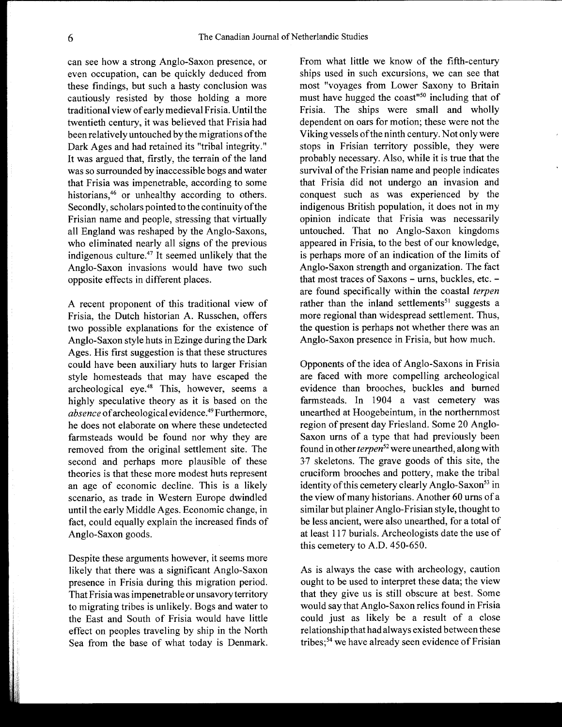can see how a strong Anglo-Saxon presence, or even occupation, can be quickly deduced from these findings, but such a hasty conclusion was cautiously resisted by those holding a more traditional view of early medieval Frisia. Until the twentieth century, it was believed that Frisia had been relatively untouched by the migrations of the Dark Ages and had retained its "tribal integrity." It was argued that, firstly, the terrain of the land was so surrounded by inaccessible bogs and water that Frisia was impenetrable, according to some historians,<sup>46</sup> or unhealthy according to others. Secondly, scholars pointed to the continuity of the Frisian name and people, stressing that virtually all England was reshaped by the Anglo-Saxons, who eliminated nearly all signs of the previous indigenous culture.47 It seemed unlikely that the Anglo-Saxon invasions would have two such opposite effects in different places.

A recent proponent of this traditional view of Frisia, the Dutch historian A. Russchen, offers two possible explanations for the existence of Anglo-Saxon style huts in Ezinge during the Dark Ages. His first suggestion is that these structures could have been auxiliary huts to larger Frisian style homesteads that may have escaped the archeological eye.48 This, however, seems a highly speculative theory as it is based on the *absence* of archeological evidence.49 Furthermore, he does not elaborate on where these undetected farmsteads would be found nor why they are removed from the original settlement site. The second and perhaps more plausible of these theories is that these more modest huts represent an age of economic decline. This is a likely scenario, as trade in Western Europe dwindled until the early Middle Ages. Economic change, in fact, could equally explain the increased finds of Anglo-Saxon goods.

Despite these arguments however, it seems more likely that there was a significant Anglo-Saxon presence in Frisia during this migration period. That Frisia was impenetrable or unsavory territory to migrating tribes is unlikely. Bogs and water to the East and South of Frisia would have little effect on peoples traveling by ship in the North Sea from the base of what today is Denmark. From what little we know of the fifth-century ships used in such excursions, we can see that most "voyages from Lower Saxony to Britain must have hugged the coast"50 including that of Frisia. The ships were small and wholly dependent on oars for motion; these were not the Viking vessels of the ninth century. Not only were stops in Frisian territory possible, they were probably necessary. Also, while it is true that the survival of the Frisian name and people indicates that Frisia did not undergo an invasion and conquest such as was experienced by the indigenous British population, it does not in my opinion indicate that Frisia was necessarily untouched. That no Anglo-Saxon kingdoms appeared in Frisia, to the best of our knowledge, is perhaps more of an indication of the limits of Anglo-Saxon strength and organization. The fact that most traces of Saxons  $-$  urns, buckles, etc.  $$ are found specifically within the coastal *terpen*  rather than the inland settlements<sup>51</sup> suggests a more regional than widespread settlement. Thus, the question is perhaps not whether there was an Anglo-Saxon presence in Frisia, but how much.

Opponents of the idea of Anglo-Saxons in Frisia are faced with more compelling archeological evidence than brooches, buckles and burned farmsteads. In 1904 a vast cemetery was unearthed at Hoogebeintum, in the northernmost region of present day Friesland. Some 20 Anglo-Saxon urns of a type that had previously been found in other *terpen52* were unearthed, along with 37 skeletons. The grave goods of this site, the cruciform brooches and pottery, make the tribal identity of this cemetery clearly Anglo-Saxon<sup>53</sup> in the view of many historians. Another 60 urns of a similar but plainer Anglo-Frisian style, thought to be less ancient, were also unearthed, for a total of at least 117 burials. Archeologists date the use of this cemetery to A.D. 450-650.

As is always the case with archeology, caution ought to be used to interpret these data; the view that they give us is still obscure at best. Some would say that Anglo-Saxon relics found in Frisia could just as likely be a result of a close relationship that had always existed between these tribes;<sup>54</sup> we have already seen evidence of Frisian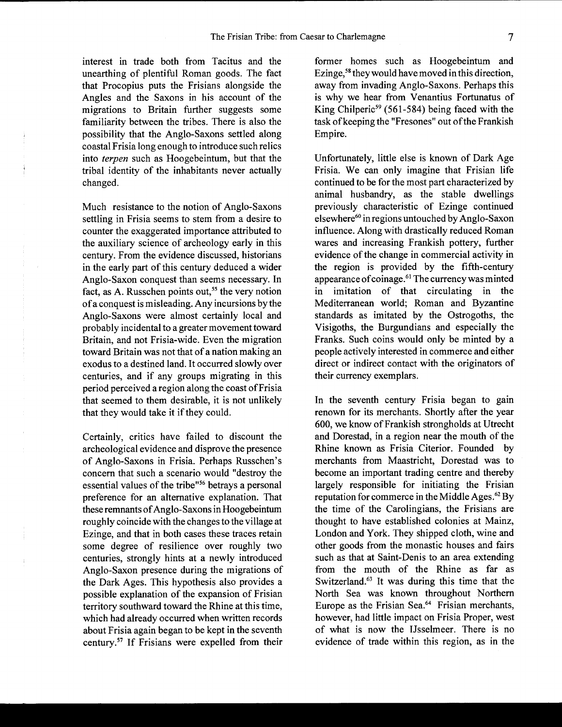interest in trade both from Tacitus and the unearthing of plentiful Roman goods. The fact that Procopius puts the Frisians alongside the Angles and the Saxons in his account of the migrations to Britain further suggests some familiarity between the tribes. There is also the possibility that the Anglo-Saxons settled along coastal Frisia long enough to introduce such relics into *terpen* such as Hoogebeintum, but that the tribal identity of the inhabitants never actually changed.

Much resistance to the notion of Anglo-Saxons settling in Frisia seems to stem from a desire to counter the exaggerated importance attributed to the auxiliary science of archeology early in this century. From the evidence discussed, historians in the early part of this century deduced a wider Anglo-Saxon conquest than seems necessary. In fact, as A. Russchen points out, *ss* the very notion of a conquest is misleading. Any incursions by the Anglo-Saxons were almost certainly local and probably incidental to a greater movement toward Britain, and not Frisia-wide. Even the migration toward Britain was not that of a nation making an exodus to a destined land. It occurred slowly over centuries, and if any groups migrating in this period perceived a region along the coast of Frisia that seemed to them desirable, it is not unlikely that they would take it if they could.

Certainly, critics have failed to discount the archeological evidence and disprove the presence of Anglo-Saxons in Frisia. Perhaps Russchen's concern that such a scenario would "destroy the essential values of the tribe"<sup>56</sup> betrays a personal preference for an alternative explanation. That these remnants of Anglo-Saxons in Hoogebeintum roughly coincide with the changes to the village at Ezinge, and that in both cases these traces retain some degree of resilience over roughly two centuries, strongly hints at a newly introduced Anglo-Saxon presence during the migrations of the Dark Ages. This hypothesis also provides a possible explanation of the expansion of Frisian territory southward toward the Rhine at this time, which had already occurred when written records about Frisia again began to be kept in the seventh century.<sup>57</sup> If Frisians were expelled from their

former homes such as Hoogebeintum and Ezinge, *S8* they would have moved in this direction, away from invading Anglo-Saxons. Perhaps this is why we hear from Venantius Fortunatus of King Chilperic<sup>59</sup> (561-584) being faced with the task of keeping the "Fresones" out of the Frankish Empire.

Unfortunately, little else is known of Dark Age Frisia. We can only imagine that Frisian life continued to be for the most part characterized by animal husbandry, as the stable dwellings previously characteristic of Ezinge continued elsewhere<sup>60</sup> in regions untouched by Anglo-Saxon influence. Along with drastically reduced Roman wares and increasing Frankish pottery, further evidence of the change in commercial activity in the region is provided by the fifth-century appearance of coinage.<sup>61</sup> The currency was minted in imitation of that circulating in the Mediterranean world; Roman and Byzantine standards as imitated by the Ostrogoths, the Visigoths, the Burgundians and especially the Franks. Such coins would only be minted by a people actively interested in commerce and either direct or indirect contact with the originators of their currency exemplars.

In the seventh century Frisia began to gain renown for its merchants. Shortly after the year 600, we know of Frankish strongholds at Utrecht and Dorestad, in a region near the mouth of the Rhine known as Frisia Citerior. Founded by merchants from Maastricht, Dorestad was to become an important trading centre and thereby largely responsible for initiating the Frisian reputation for commerce in the Middle Ages.<sup>62</sup> By the time of the Carolingians, the Frisians are thought to have established colonies at Mainz, London and York. They shipped cloth, wine and other goods from the monastic houses and fairs such as that at Saint-Denis to an area extending from the mouth of the Rhine as far as Switzerland.<sup>63</sup> It was during this time that the North Sea was known throughout Northern Europe as the Frisian Sea.<sup>64</sup> Frisian merchants, however, had little impact on Frisia Proper, west of what is now the IJsselmeer. There is no evidence of trade within this region, as in the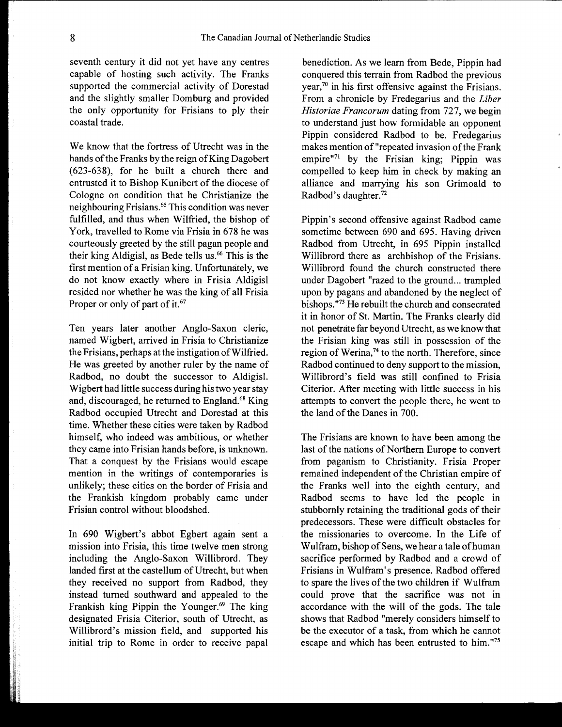seventh century it did not yet have any centres capable of hosting such activity. The Franks supported the commercial activity of Dorestad and the slightly smaller Domburg and provided the only opportunity for Frisians to ply their coastal trade.

We know that the fortress of Utrecht was in the hands of the Franks by the reign of King Dagobert (623-638), for he built a church there and entrusted it to Bishop Kunibert of the diocese of Cologne on condition that he Christianize the neighbouring Frisians.65 This condition was never fulfilled, and thus when Wilfried, the bishop of York, travelled to Rome via Frisia in 678 he was courteously greeted by the still pagan people and their king Aldigisl, as Bede tells us.<sup>66</sup> This is the first mention of a Frisian king. Unfortunately, we do not know exactly where in Frisia Aldigisl resided nor whether he was the king of all Frisia Proper or only of part of it.<sup>67</sup>

Ten years later another Anglo-Saxon cleric, named Wigbert, arrived in Frisia to Christianize the Frisians, perhaps at the instigation of Wilfried. He was greeted by another ruler by the name of Radbod, no doubt the successor to Aldigisl. Wigbert had little success during his two year stay and, discouraged, he returned to England.<sup>68</sup> King Radbod occupied Utrecht and Dorestad at this time. Whether these cities were taken by Radbod himself, who indeed was ambitious, or whether they came into Frisian hands before, is unknown. That a conquest by the Frisians would escape mention in the writings of contemporaries is unlikely; these cities on the border of Frisia and the Frankish kingdom probably came under Frisian control without bloodshed.

In 690 Wigbert's abbot Egbert again sent a mission into Frisia, this time twelve men strong including the Anglo-Saxon Willibrord. They landed first at the castellum of Utrecht, but when they received no support from Radbod, they instead turned southward and appealed to the Frankish king Pippin the Younger.<sup>69</sup> The king designated Frisia Citerior, south of Utrecht, as Willibrord's mission field, and supported his initial trip to Rome in order to receive papal

benediction. As we learn from Bede, Pippin had conquered this terrain from Radbod the previous year, $70$  in his first offensive against the Frisians. From a chronicle by Fredegarius and the *Liber Historiae Francorum* dating from 727, we begin to understand just how formidable an opponent Pippin considered Radbod to be. Fredegarius makes mention of "repeated invasion of the Frank empire"71 by the Frisian king; Pippin was compelled to keep him in check by making an alliance and marrying his son Grimoald to Radbod's daughter.72

Pippin's second offensive against Radbod came sometime between 690 and 695. Having driven Radbod from Utrecht, in 695 Pippin installed Willibrord there as archbishop of the Frisians. Willibrord found the church constructed there under Dagobert "razed to the ground... trampled upon by pagans and abandoned by the neglect of bishops."<sup>73</sup> He rebuilt the church and consecrated it in honor of St. Martin. The Franks clearly did not penetrate far beyond Utrecht, as we know that the Frisian king was still in possession of the region of Werina, $74$  to the north. Therefore, since Radbod continued to deny support to the mission, Willibrord's field was still confined to Frisia Citerior. After meeting with little success in his attempts to convert the people there, he went to the land of the Danes in 700.

The Frisians are known to have been among the last of the nations of Northern Europe to convert from paganism to Christianity. Frisia Proper remained independent of the Christian empire of the Franks well into the eighth century, and Radbod seems to have led the people in stubbornly retaining the traditional gods of their predecessors. These were difficult obstacles for the missionaries to overcome. In the Life of Wulfram, bishop of Sens, we hear a tale of human sacrifice performed by Radbod and a crowd of Frisians in Wulfram's presence. Radbod offered to spare the lives of the two children if Wulfram could prove that the sacrifice was not in accordance with the will of the gods. The tale shows that Radbod "merely considers himself to be the executor of a task, from which he cannot escape and which has been entrusted to him."75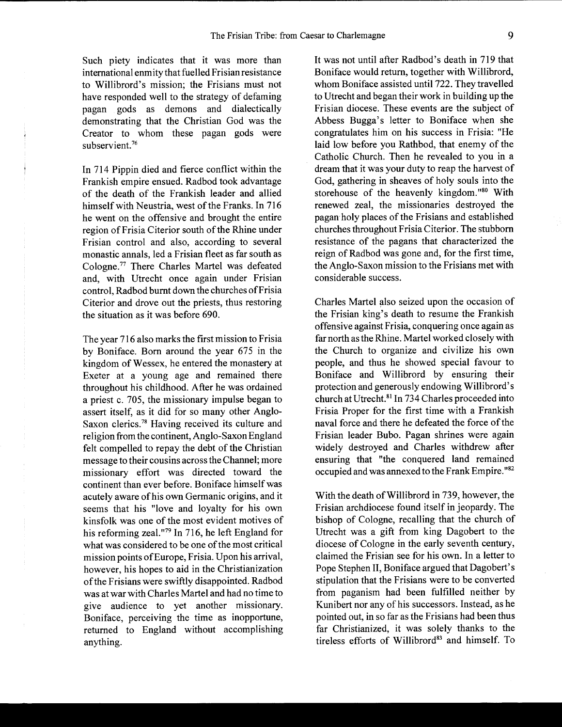Such piety indicates that it was more than international enmity that fuelled Frisian resistance to Willibrord's mission; the Frisians must not have responded well to the strategy of defaming pagan gods as demons and dialectically demonstrating that the Christian God was the Creator to whom these pagan gods were subservient. $76$ 

In 714 Pippin died and fierce conflict within the Frankish empire ensued. Radbod took advantage of the death of the Frankish leader and allied himself with Neustria, west of the Franks. In 716 he went on the offensive and brought the entire region of Frisia Citerior south of the Rhine under Frisian control and also, according to several monastic annals, led a Frisian fleet as far south as Cologne.77 There Charles Martel was defeated and, with Utrecht once again under Frisian control, Radbod burnt down the churches ofFrisia Citerior and drove out the priests, thus restoring the situation as it was before 690.

The year 716 also marks the first mission to Frisia by Boniface. Born around the year 675 in the kingdom of Wessex, he entered the monastery at Exeter at a young age and remained there throughout his childhood. After he was ordained a priest c. 705, the missionary impulse began to assert itself, as it did for so many other Anglo-Saxon clerics.78 Having received its culture and religion from the continent, Anglo-Saxon England felt compelled to repay the debt of the Christian message to their cousins across the Channel; more missionary effort was directed toward the continent than ever before. Boniface himself was acutely aware of his own Germanic origins, and it seems that his "love and loyalty for his own kinsfolk was one of the most evident motives of his reforming zeal."<sup>79</sup> In 716, he left England for what was considered to be one of the most critical mission points of Europe, Frisia. Upon his arrival, however, his hopes to aid in the Christianization of the Frisians were swiftly disappointed. Radbod was at war with Charles Martel and had no time to give audience to yet another missionary. Boniface, perceiving the time as inopportune, returned to England without accomplishing anything.

It was not until after Radbod's death in 719 that Boniface would return, together with Willibrord, whom Boniface assisted until 722. They travelled to Utrecht and began their work in building up the Frisian diocese. These events are the subject of Abbess Bugga's letter to Boniface when she congratulates him on his success in Frisia: "He laid low before you Rathbod, that enemy of the Catholic Church. Then he revealed to you in a dream that it was your duty to reap the harvest of God, gathering in sheaves of holy souls into the storehouse of the heavenly kingdom."<sup>80</sup> With renewed zeal, the missionaries destroyed the pagan holy places of the Frisians and established churches throughout Frisia Citerior. The stubborn resistance of the pagans that characterized the reign of Radbod was gone and, for the first time, the Anglo-Saxon mission to the Frisians met with considerable success.

Charles Martel also seized upon the occasion of the Frisian king's death to resume the Frankish offensive against Frisia, conquering once again as far north as the Rhine. Martel worked closely with the Church to organize and civilize his own people, and thus he showed special favour to Boniface and Willibrord by ensuring their protection and generously endowing Willibrord's church at Utrecht. 81 In 734 Charles proceeded into Frisia Proper for the first time with a Frankish naval force and there he defeated the force of the Frisian leader Bubo. Pagan shrines were again widely destroyed and Charles withdrew after ensuring that "the conquered land remained occupied and was annexed to the Frank Empire. "82

With the death of Willibrord in 739, however, the Frisian archdiocese found itself in jeopardy. The bishop of Cologne, recalling that the church of Utrecht was a gift from king Dagobert to the diocese of Cologne in the early seventh century, claimed the Frisian see for his own. In a letter to Pope Stephen II, Boniface argued that Dagobert's stipulation that the Frisians were to be converted from paganism had been fulfilled neither by Kunibert nor any of his successors. Instead, as he pointed out, in so far as the Frisians had been thus far Christianized, it was solely thanks to the tireless efforts of Willibrord<sup>83</sup> and himself. To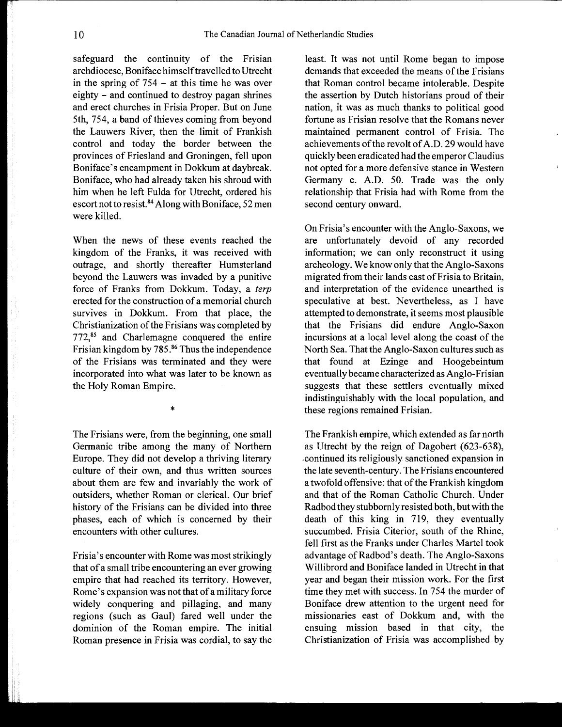safeguard the continuity of the Frisian archdiocese, Boniface himself travelled to Utrecht in the spring of 754 - at this time he was over eighty - and continued to destroy pagan shrines and erect churches in Frisia Proper. But on June 5th, 754, a band of thieves coming from beyond the Lauwers River, then the limit of Frankish control and today the border between the provinces of Friesland and Groningen, fell upon Boniface's encampment in Dokkum at daybreak. Boniface, who had already taken his shroud with him when he left Fulda for Utrecht, ordered his escort not to resist.<sup>84</sup> Along with Boniface, 52 men were killed.

When the news of these events reached the kingdom of the Franks, it was received with outrage, and shortly thereafter Humsterland beyond the Lauwers was invaded by a punitive force of Franks from Dokkum. Today, a *terp*  erected for the construction of a memorial church survives in Dokkum. From that place, the Christianization of the Frisians was completed by 772,<sup>85</sup> and Charlemagne conquered the entire Frisian kingdom by 785.<sup>86</sup> Thus the independence of the Frisians was terminated and they were incorporated into what was later to be known as the Holy Roman Empire.

The Frisians were, from the beginning, one small Germanic tribe among the many of Northern Europe. They did not develop a thriving literary culture of their own, and thus written sources about them are few and invariably the work of outsiders, whether Roman or clerical. Our brief history of the Frisians can be divided into three phases, each of which is concerned by their encounters with other cultures.

\*

Frisia's encounter with Rome was most strikingly that of a small tribe encountering an ever growing empire that had reached its territory. However, Rome's expansion was not that of a military force widely conquering and pillaging, and many regions (such as Gaul) fared well under the dominion of the Roman empire. The initial Roman presence in Frisia was cordial, to say the

least. It was not until Rome began to impose demands that exceeded the means of the Frisians that Roman control became intolerable. Despite the assertion by Dutch historians proud of their nation, it was as much thanks to political good fortune as Frisian resolve that the Romans never maintained permanent control of Frisia. The achievements of the revolt of A.D. 29 would have quickly been eradicated had the emperor Claudius not opted for a more defensive stance in Western Germany c. A.D. 50. Trade was the only relationship that Frisia had with Rome from the second century onward.

On Frisia's encounter with the Anglo-Saxons, we are unfortunately devoid of any recorded information; we can only reconstruct it using archeology. We know only that the Anglo-Saxons migrated from their lands east of Frisia to Britain, and interpretation of the evidence unearthed is speculative at best. Nevertheless, as I have attempted to demonstrate, it seems most plausible that the Frisians did endure Anglo-Saxon incursions at a local level along the coast of the North Sea. That the Anglo-Saxon cultures such as that found at Ezinge and Hoogebeintum eventually became characterized as Anglo-Frisian suggests that these settlers eventually mixed indistinguishably with the local population, and these regions remained Frisian.

The Frankish empire, which extended as far north as Utrecht by the reign of Dagobert (623-638), -continued its religiously sanctioned expansion in the late seventh-century. The Frisians encountered a twofold offensive: that of the Frankish kingdom and that of the Roman Catholic Church. Under Radbod they stubbornly resisted both, but with the death of this king in 719, they eventually succumbed. Frisia Citerior, south of the Rhine, fell first as the Franks under Charles Martel took advantage of Radbod's death. The Anglo-Saxons Willibrord and Boniface landed in Utrecht in that year and began their mission work. For the first time they met with success. In 754 the murder of Boniface drew attention to the urgent need for missionaries east of Dokkum and, with the ensuing mission based in that city, the Christianization of Frisia was accomplished by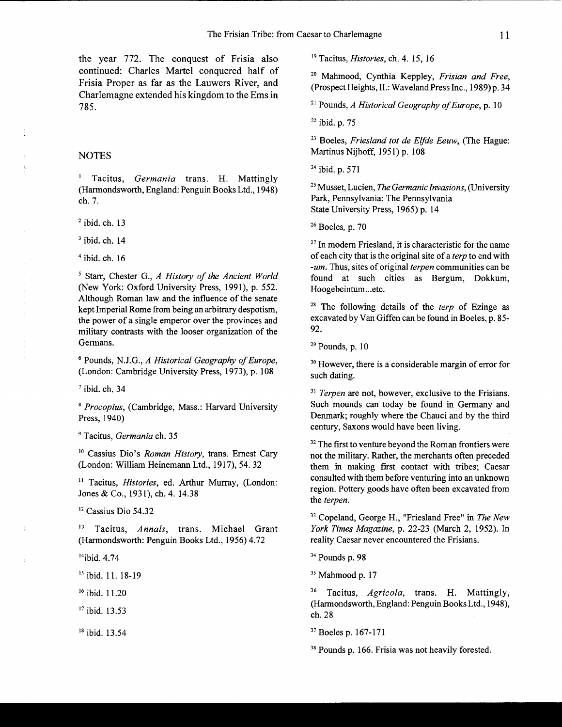the year 772. The conquest of Frisia also continued: Charles Martel conquered half of Frisia Proper as far as the Lauwers River, and Charlemagne extended his kingdom to the Ems in 785.

## NOTES

Tacitus, *Germania* trans. H. Mattingly (Harmondsworth, England: Penguin Books Ltd., 1948) ch.7.

 $2$  ibid. ch. 13

 $3$  ibid. ch. 14

 $4$  ibid. ch. 16

5 Starr, Chester G., *A History of the Ancient World*  (New York: Oxford University Press, 1991), p. 552. Although Roman law and the influence of the senate kept Imperial Rome from being an arbitrary despotism, the power of a single emperor over the provinces and military contrasts with the looser organization of the Germans.

6 Pounds, N.J.G., *A Historical Geography of Europe,*  (London: Cambridge University Press, 1973), p. 108

 $<sup>7</sup>$  ibid. ch. 34</sup>

*8 Procopius,* (Cambridge, Mass.: Harvard University Press, 1940)

9 Tacitus, *Germania* ch. 35

10 Cassius Dio's *Roman History,* trans. Ernest Cary (London: William Heinemann Ltd., 1917), 54. 32

11 Tacitus, *Histories,* ed. Arthur Murray, (London: Jones & Co., 1931), ch. 4. 14.38

<sup>12</sup> Cassius Dio 54.32

13 Tacitus, *Annals,* trans. Michael Grant (Harmondsworth: Penguin Books Ltd., 1956) 4.72

<sup>14</sup>ibid. 4.74

<sup>15</sup> ibid. 11. 18-19

16 ibid. 11.20

17 ibid. 13.53

18 ibid. 13.54

19 Tacitus, *Histories,* ch. 4. 15, 16

20 Mahmood, Cynthia Keppley, *Frisian and Free,*  (Prospect Heights, II.: Waveland Press Inc., 1989) p. 34

21 Pounds, *A Historical Geography of Europe,* p. 10

 $22$  ibid. p. 75

23 Boeles, *Friesland tot de Elfde Eeuw,* (The Hague: Martinus Nijhoff, 1951) p. 108

24 ibid. p. 571

25 Musset, Lucien, *the Germanic Invasions,* (University Park, Pennsylvania: The Pennsylvania State University Press, 1965) p. 14

26 Boeles, p. 70

 $27$  In modern Friesland, it is characteristic for the name of each city that is the original site of a *terp* to end with *-um.* Thus, sites of original *terpen* communities can be found at such cities as Bergum, Dokkum, Hoogebeintum...etc.

28 The following details of the *terp* of Ezinge as excavated by Van Giffen can be found in Boeles, p. 85- 92.

 $29$  Pounds, p. 10

30 However, there is a considerable margin of error for such dating.

<sup>31</sup> Terpen are not, however, exclusive to the Frisians. Such mounds can today be found in Germany and Denmark; roughly where the Chauci and by the third century, Saxons would have been living.

<sup>32</sup> The first to venture beyond the Roman frontiers were not the military. Rather, the merchants often preceded them in making first contact with tribes; Caesar consulted with them before venturing into an unknown region. Pottery goods have often been excavated from the *terpen.* 

33 Copeland, George H., "Friesland Free" in *The New York Times Magazine,* p. 22-23 (March 2, 1952). In reality Caesar never encountered the Frisians.

34 Pounds p. 98

<sup>35</sup> Mahmood p. 17

36 Tacitus, *Agricola,* trans. H. Mattingly, (Harmondsworth, England: Penguin Books Ltd., 1948), ch.28

37 Boeles p. 167-171

38 Pounds p. 166. Frisia was not heavily forested.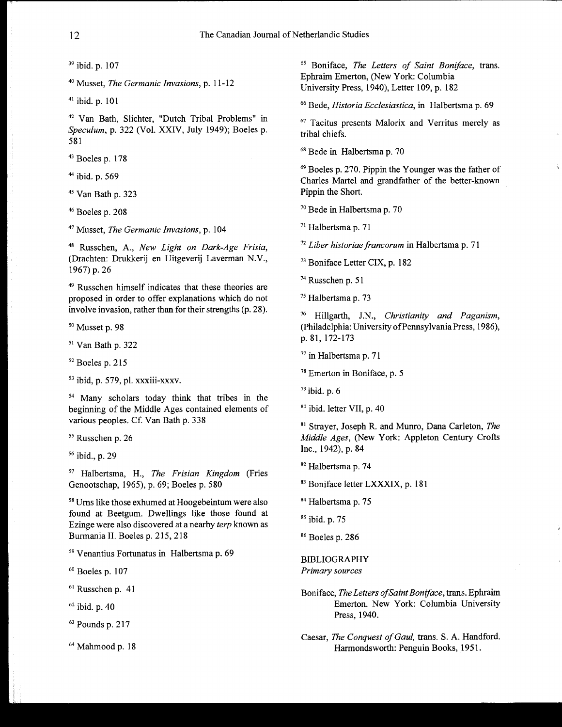39 ibid. p. 107

40 Musset, *The Germanic Invasions,* p. 11-12

41 ibid. p. 101

42 Van Bath, Slichter, "Dutch Tribal Problems" in *Speculum,* p. 322 (Vol. XXIV, July 1949); Boeles p. 581

43 Boeles p. 178

44 ibid. p. 569

45 Van Bath p. 323

46 Boeles p. 208

47 Musset, *The Germanic Invasions,* p. 104

48 Russchen, A., *New Light on Dark-Age Frisia,*  (Drachten: Drukkerij en Uitgeverij Laverman N.V., 1967) p. 26

49 Russchen himself indicates that these theories are proposed in order to offer explanations which do not involve invasion, rather than for their strengths (p. 28).

50 Musset p. 98

51 Van Bath p. 322

52 Boeles p. 215

53 ibid, p. 579, pI. xxxiii-xxxv.

54 Many scholars today think that tribes in the beginning of the Middle Ages contained elements of various peoples. Cf. Van Bath p. 338

<sup>55</sup> Russchen p. 26

56 ibid., p. 29

57 Halbertsma, H., *The Frisian Kingdom* (Fries Genootschap, 1965), p. 69; Boeles p. 580

58 Urns like those exhumed at Hoogebeintum were also found at Beetgum. Dwellings like those found at Ezinge were also discovered at a nearby *terp* known as Burmania II. Boeles p. 215, 218

59 Venantius Fortunatus in Halbertsma p. 69

60 Boeles p. 107

<sup>61</sup> Russchen p. 41

62 ibid. p. 40

63 Pounds p. 217

64 Mahmood p. 18

65 Boniface, *The Letters of Saint Boniface,* trans. Ephraim Emerton, (New York: Columbia University Press, 1940), Letter 109, p. 182

66 Bede, *Historia Ecclesiastica,* in Halbertsma p. 69

67 Tacitus presents Malorix and Verritus merely as tribal chiefs.

68 Bede in Halbertsma p. 70

69 Boeles p. 270. Pippin the Younger was the father of Charles Martel and grandfather of the better-known Pippin the Short.

70 Bede in Halbertsma p. 70

71 Halbertsma p. 71

<sup>72</sup>*Liber historiaefrancorum* in Halbertsma p. 71

73 Boniface Letter CIX, p. 182

74 Russchen p. 51

75 Halbertsma p. 73

76 Hillgarth, J.N., *Christianity and Paganism,*  (philadelphia: University of Pennsylvania Press, 1986), p. 81,172-173

77 in Halbertsma p. 71

78 Emerton in Boniface, p. 5

 $79$  ibid. p. 6

80 ibid. letter VII, p. 40

81 Strayer, Joseph R. and Munro, Dana Carleton, *The Middle Ages,* (New York: Appleton Century Crofts Inc., 1942), p. 84

82 Halbertsma p. 74

83 Boniface letter LXXXIX, p. 181

84 Halbertsma p. 75

85 ibid. p. 75

86 Boeles p. 286

BIBLIOGRAPHY *Primary sources* 

Boniface, *The Letters of Saint Boniface,* trans. Ephraim Emerton. New York: Columbia University Press, 1940.

Caesar, *The Conquest of Gaul,* trans. S. A. Handford. Harmondsworth: Penguin Books, 1951.